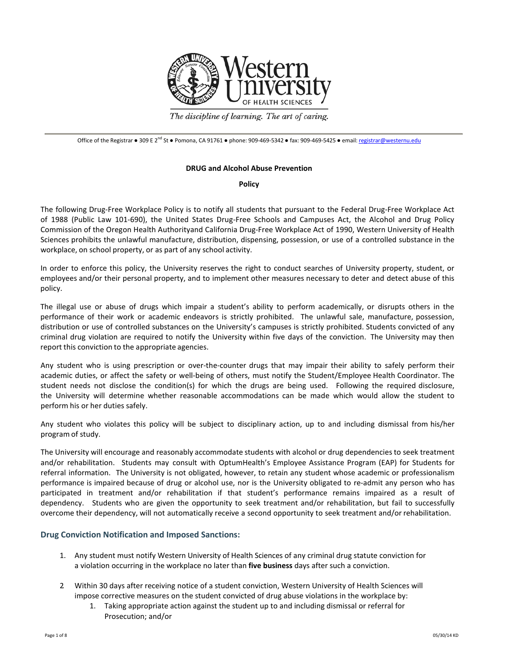

The discipline of learning. The art of caring.

Office of the Registrar • 309 E 2<sup>nd</sup> St • Pomona, CA 91761 • phone: 909-469-5342 • fax: 909-469-5425 • email: [registrar@westernu.edu](mailto:registrar@westernu.edu)

#### **DRUG and Alcohol Abuse Prevention**

**Policy**

The following Drug-Free Workplace Policy is to notify all students that pursuant to the Federal Drug-Free Workplace Act of 1988 (Public Law 101-690), the United States Drug-Free Schools and Campuses Act, the Alcohol and Drug Policy Commission of the Oregon Health Authorityand California Drug-Free Workplace Act of 1990, Western University of Health Sciences prohibits the unlawful manufacture, distribution, dispensing, possession, or use of a controlled substance in the workplace, on school property, or as part of any school activity.

In order to enforce this policy, the University reserves the right to conduct searches of University property, student, or employees and/or their personal property, and to implement other measures necessary to deter and detect abuse of this policy.

The illegal use or abuse of drugs which impair a student's ability to perform academically, or disrupts others in the performance of their work or academic endeavors is strictly prohibited. The unlawful sale, manufacture, possession, distribution or use of controlled substances on the University's campuses is strictly prohibited. Students convicted of any criminal drug violation are required to notify the University within five days of the conviction. The University may then report this conviction to the appropriate agencies.

Any student who is using prescription or over-the-counter drugs that may impair their ability to safely perform their academic duties, or affect the safety or well-being of others, must notify the Student/Employee Health Coordinator. The student needs not disclose the condition(s) for which the drugs are being used. Following the required disclosure, the University will determine whether reasonable accommodations can be made which would allow the student to perform his or her duties safely.

Any student who violates this policy will be subject to disciplinary action, up to and including dismissal from his/her program of study.

The University will encourage and reasonably accommodate students with alcohol or drug dependenciesto seek treatment and/or rehabilitation. Students may consult with OptumHealth's Employee Assistance Program (EAP) for Students for referral information. The University is not obligated, however, to retain any student whose academic or professionalism performance is impaired because of drug or alcohol use, nor is the University obligated to re-admit any person who has participated in treatment and/or rehabilitation if that student's performance remains impaired as a result of dependency. Students who are given the opportunity to seek treatment and/or rehabilitation, but fail to successfully overcome their dependency, will not automatically receive a second opportunity to seek treatment and/or rehabilitation.

# **Drug Conviction Notification and Imposed Sanctions:**

- 1. Any student must notify Western University of Health Sciences of any criminal drug statute conviction for a violation occurring in the workplace no later than **five business** days after such a conviction.
- 2. Within 30 days after receiving notice of a student conviction, Western University of Health Sciences will impose corrective measures on the student convicted of drug abuse violations in the workplace by:
	- 1. Taking appropriate action against the student up to and including dismissal or referral for Prosecution; and/or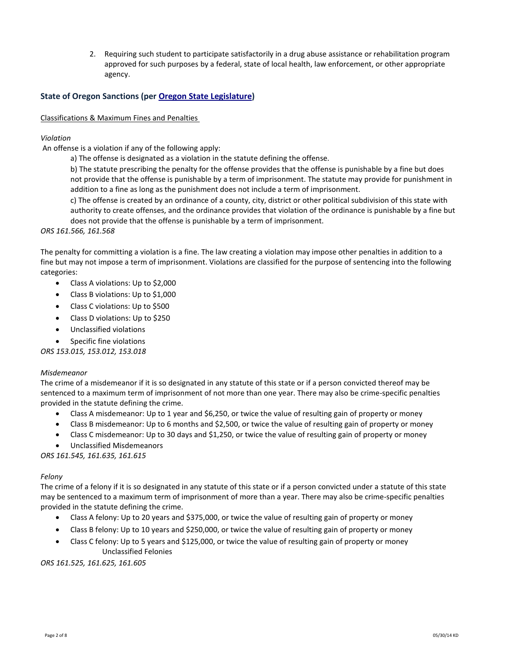2. Requiring such student to participate satisfactorily in a drug abuse assistance or rehabilitation program approved for such purposes by a federal, state of local health, law enforcement, or other appropriate agency.

# **State of Oregon Sanctions (per [Oregon State Legislature\)](https://www.oregonlegislature.gov/bills_laws/Pages/ORS.aspx)**

#### Classifications & Maximum Fines and Penalties

#### *Violation*

An offense is a violation if any of the following apply:

a) The offense is designated as a violation in the statute defining the offense.

b) The statute prescribing the penalty for the offense provides that the offense is punishable by a fine but does not provide that the offense is punishable by a term of imprisonment. The statute may provide for punishment in addition to a fine as long as the punishment does not include a term of imprisonment.

c) The offense is created by an ordinance of a county, city, district or other political subdivision of this state with authority to create offenses, and the ordinance provides that violation of the ordinance is punishable by a fine but does not provide that the offense is punishable by a term of imprisonment.

#### *ORS 161.566, 161.568*

The penalty for committing a violation is a fine. The law creating a violation may impose other penalties in addition to a fine but may not impose a term of imprisonment. Violations are classified for the purpose of sentencing into the following categories:

- Class A violations: Up to \$2,000
- Class B violations: Up to \$1,000
- Class C violations: Up to \$500
- Class D violations: Up to \$250
- Unclassified violations
- Specific fine violations

*ORS 153.015, 153.012, 153.018* 

#### *Misdemeanor*

The crime of a misdemeanor if it is so designated in any statute of this state or if a person convicted thereof may be sentenced to a maximum term of imprisonment of not more than one year. There may also be crime-specific penalties provided in the statute defining the crime.

- Class A misdemeanor: Up to 1 year and \$6,250, or twice the value of resulting gain of property or money
- Class B misdemeanor: Up to 6 months and \$2,500, or twice the value of resulting gain of property or money
- Class C misdemeanor: Up to 30 days and \$1,250, or twice the value of resulting gain of property or money
- Unclassified Misdemeanors

*ORS 161.545, 161.635, 161.615*

#### *Felony*

The crime of a felony if it is so designated in any statute of this state or if a person convicted under a statute of this state may be sentenced to a maximum term of imprisonment of more than a year. There may also be crime-specific penalties provided in the statute defining the crime.

- Class A felony: Up to 20 years and \$375,000, or twice the value of resulting gain of property or money
- Class B felony: Up to 10 years and \$250,000, or twice the value of resulting gain of property or money
- Class C felony: Up to 5 years and \$125,000, or twice the value of resulting gain of property or money Unclassified Felonies

*ORS 161.525, 161.625, 161.605*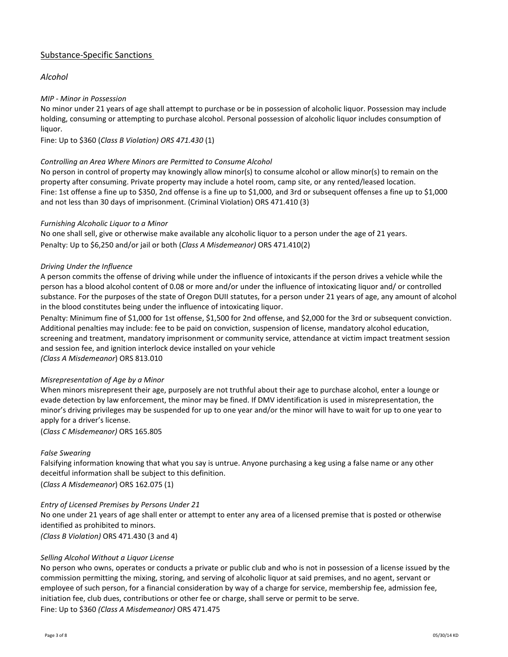# Substance-Specific Sanctions

# *Alcohol*

# *MIP - Minor in Possession*

No minor under 21 years of age shall attempt to purchase or be in possession of alcoholic liquor. Possession may include holding, consuming or attempting to purchase alcohol. Personal possession of alcoholic liquor includes consumption of liquor.

Fine: Up to \$360 (*Class B Violation) ORS 471.430* (1)

# *Controlling an Area Where Minors are Permitted to Consume Alcohol*

No person in control of property may knowingly allow minor(s) to consume alcohol or allow minor(s) to remain on the property after consuming. Private property may include a hotel room, camp site, or any rented/leased location. Fine: 1st offense a fine up to \$350, 2nd offense is a fine up to \$1,000, and 3rd or subsequent offenses a fine up to \$1,000 and not less than 30 days of imprisonment. (Criminal Violation) ORS 471.410 (3)

# *Furnishing Alcoholic Liquor to a Minor*

No one shall sell, give or otherwise make available any alcoholic liquor to a person under the age of 21 years. Penalty: Up to \$6,250 and/or jail or both (*Class A Misdemeanor)* ORS 471.410(2)

# *Driving Under the Influence*

A person commits the offense of driving while under the influence of intoxicants if the person drives a vehicle while the person has a blood alcohol content of 0.08 or more and/or under the influence of intoxicating liquor and/ or controlled substance. For the purposes of the state of Oregon DUII statutes, for a person under 21 years of age, any amount of alcohol in the blood constitutes being under the influence of intoxicating liquor.

Penalty: Minimum fine of \$1,000 for 1st offense, \$1,500 for 2nd offense, and \$2,000 for the 3rd or subsequent conviction. Additional penalties may include: fee to be paid on conviction, suspension of license, mandatory alcohol education, screening and treatment, mandatory imprisonment or community service, attendance at victim impact treatment session and session fee, and ignition interlock device installed on your vehicle

*(Class A Misdemeanor*) ORS 813.010

# *Misrepresentation of Age by a Minor*

When minors misrepresent their age, purposely are not truthful about their age to purchase alcohol, enter a lounge or evade detection by law enforcement, the minor may be fined. If DMV identification is used in misrepresentation, the minor's driving privileges may be suspended for up to one year and/or the minor will have to wait for up to one year to apply for a driver's license.

(*Class C Misdemeanor)* ORS 165.805

# *False Swearing*

Falsifying information knowing that what you say is untrue. Anyone purchasing a keg using a false name or any other deceitful information shall be subject to this definition.

(*Class A Misdemeanor*) ORS 162.075 (1)

# *Entry of Licensed Premises by Persons Under 21*

No one under 21 years of age shall enter or attempt to enter any area of a licensed premise that is posted or otherwise identified as prohibited to minors.

*(Class B Violation)* ORS 471.430 (3 and 4)

# *Selling Alcohol Without a Liquor License*

No person who owns, operates or conducts a private or public club and who is not in possession of a license issued by the commission permitting the mixing, storing, and serving of alcoholic liquor at said premises, and no agent, servant or employee of such person, for a financial consideration by way of a charge for service, membership fee, admission fee, initiation fee, club dues, contributions or other fee or charge, shall serve or permit to be serve. Fine: Up to \$360 *(Class A Misdemeanor)* ORS 471.475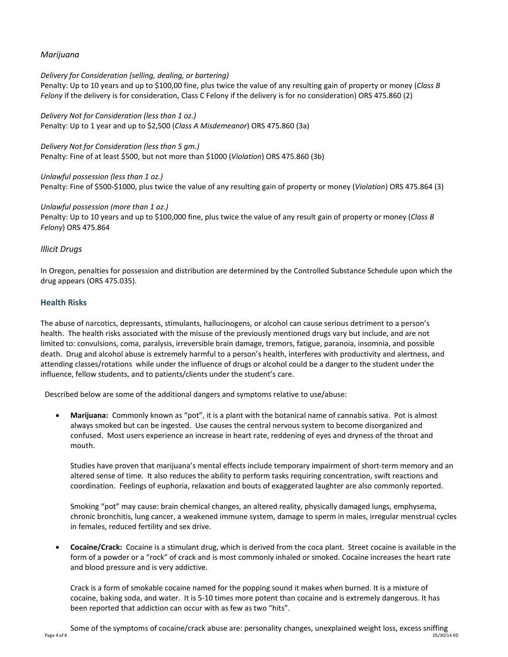# *Marijuana*

#### *Delivery for Consideration (selling, dealing, or bartering)*

Penalty: Up to 10 years and up to \$100,00 fine, plus twice the value of any resulting gain of property or money (*Class B Felony* if the delivery is for consideration, Class C Felony if the delivery is for no consideration) ORS 475.860 (2)

*Delivery Not for Consideration (less than 1 oz.)*  Penalty: Up to 1 year and up to \$2,500 (*Class A Misdemeanor*) ORS 475.860 (3a)

*Delivery Not for Consideration (less than 5 gm.)*  Penalty: Fine of at least \$500, but not more than \$1000 (*Violation*) ORS 475.860 (3b)

*Unlawful possession (less than 1 oz.)*  Penalty: Fine of \$500-\$1000, plus twice the value of any resulting gain of property or money (*Violation*) ORS 475.864 (3)

*Unlawful possession (more than 1 oz.)*  Penalty: Up to 10 years and up to \$100,000 fine, plus twice the value of any result gain of property or money (*Class B Felony*) ORS 475.864

# *Illicit Drugs*

In Oregon, penalties for possession and distribution are determined by the Controlled Substance Schedule upon which the drug appears (ORS 475.035).

# **Health Risks**

The abuse of narcotics, depressants, stimulants, hallucinogens, or alcohol can cause serious detriment to a person's health. The health risks associated with the misuse of the previously mentioned drugs vary but include, and are not limited to: convulsions, coma, paralysis, irreversible brain damage, tremors, fatigue, paranoia, insomnia, and possible death. Drug and alcohol abuse is extremely harmful to a person's health, interferes with productivity and alertness, and attending classes/rotations while under the influence of drugs or alcohol could be a danger to the student under the influence, fellow students, and to patients/clients under the student's care.

Described below are some of the additional dangers and symptoms relative to use/abuse:

• **Marijuana:** Commonly known as "pot", it is a plant with the botanical name of cannabis sativa. Pot is almost always smoked but can be ingested. Use causes the central nervous system to become disorganized and confused. Most users experience an increase in heart rate, reddening of eyes and dryness of the throat and mouth.

Studies have proven that marijuana's mental effects include temporary impairment of short-term memory and an altered sense of time. It also reduces the ability to perform tasks requiring concentration, swift reactions and coordination. Feelings of euphoria, relaxation and bouts of exaggerated laughter are also commonly reported.

Smoking "pot" may cause: brain chemical changes, an altered reality, physically damaged lungs, emphysema, chronic bronchitis, lung cancer, a weakened immune system, damage to sperm in males, irregular menstrual cycles in females, reduced fertility and sex drive.

• **Cocaine/Crack:** Cocaine is a stimulant drug, which is derived from the coca plant. Street cocaine is available in the form of a powder or a "rock" of crack and is most commonly inhaled or smoked. Cocaine increases the heart rate and blood pressure and is very addictive.

Crack is a form of smokable cocaine named for the popping sound it makes when burned. It is a mixture of cocaine, baking soda, and water. It is 5-10 times more potent than cocaine and is extremely dangerous. It has been reported that addiction can occur with as few as two "hits".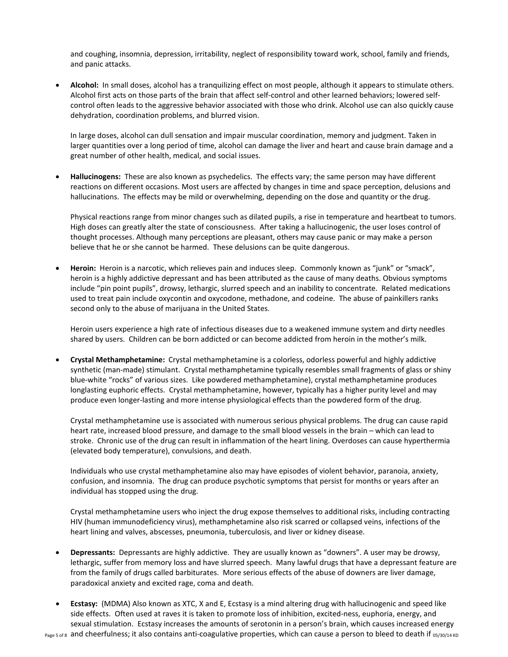and coughing, insomnia, depression, irritability, neglect of responsibility toward work, school, family and friends, and panic attacks.

• **Alcohol:** In small doses, alcohol has a tranquilizing effect on most people, although it appears to stimulate others. Alcohol first acts on those parts of the brain that affect self-control and other learned behaviors; lowered selfcontrol often leads to the aggressive behavior associated with those who drink. Alcohol use can also quickly cause dehydration, coordination problems, and blurred vision.

In large doses, alcohol can dull sensation and impair muscular coordination, memory and judgment. Taken in larger quantities over a long period of time, alcohol can damage the liver and heart and cause brain damage and a great number of other health, medical, and social issues.

• **Hallucinogens:** These are also known as psychedelics. The effects vary; the same person may have different reactions on different occasions. Most users are affected by changes in time and space perception, delusions and hallucinations. The effects may be mild or overwhelming, depending on the dose and quantity or the drug.

Physical reactions range from minor changes such as dilated pupils, a rise in temperature and heartbeat to tumors. High doses can greatly alter the state of consciousness. After taking a hallucinogenic, the user loses control of thought processes. Although many perceptions are pleasant, others may cause panic or may make a person believe that he or she cannot be harmed. These delusions can be quite dangerous.

• **Heroin:** Heroin is a narcotic, which relieves pain and induces sleep. Commonly known as "junk" or "smack", heroin is a highly addictive depressant and has been attributed as the cause of many deaths. Obvious symptoms include "pin point pupils", drowsy, lethargic, slurred speech and an inability to concentrate. Related medications used to treat pain include oxycontin and oxycodone, methadone, and codeine. The abuse of painkillers ranks second only to the abuse of marijuana in the United States.

Heroin users experience a high rate of infectious diseases due to a weakened immune system and dirty needles shared by users. Children can be born addicted or can become addicted from heroin in the mother's milk.

• **Crystal Methamphetamine:** Crystal methamphetamine is a colorless, odorless powerful and highly addictive synthetic (man-made) stimulant. Crystal methamphetamine typically resembles small fragments of glass or shiny blue-white "rocks" of various sizes. Like powdered methamphetamine), crystal methamphetamine produces longlasting euphoric effects. Crystal methamphetamine, however, typically has a higher purity level and may produce even longer-lasting and more intense physiological effects than the powdered form of the drug.

Crystal methamphetamine use is associated with numerous serious physical problems. The drug can cause rapid heart rate, increased blood pressure, and damage to the small blood vessels in the brain – which can lead to stroke. Chronic use of the drug can result in inflammation of the heart lining. Overdoses can cause hyperthermia (elevated body temperature), convulsions, and death.

Individuals who use crystal methamphetamine also may have episodes of violent behavior, paranoia, anxiety, confusion, and insomnia. The drug can produce psychotic symptoms that persist for months or years after an individual has stopped using the drug.

Crystal methamphetamine users who inject the drug expose themselves to additional risks, including contracting HIV (human immunodeficiency virus), methamphetamine also risk scarred or collapsed veins, infections of the heart lining and valves, abscesses, pneumonia, tuberculosis, and liver or kidney disease.

- **Depressants:** Depressants are highly addictive. They are usually known as "downers". A user may be drowsy, lethargic, suffer from memory loss and have slurred speech. Many lawful drugs that have a depressant feature are from the family of drugs called barbiturates. More serious effects of the abuse of downers are liver damage, paradoxical anxiety and excited rage, coma and death.
- Page 5 of 8 and cheerfulness; it also contains anti-coagulative properties, which can cause a person to bleed to death if 05/30/14 KD • **Ecstasy:** (MDMA) Also known as XTC, X and E, Ecstasy is a mind altering drug with hallucinogenic and speed like side effects. Often used at raves it is taken to promote loss of inhibition, excited-ness, euphoria, energy, and sexual stimulation. Ecstasy increases the amounts of serotonin in a person's brain, which causes increased energy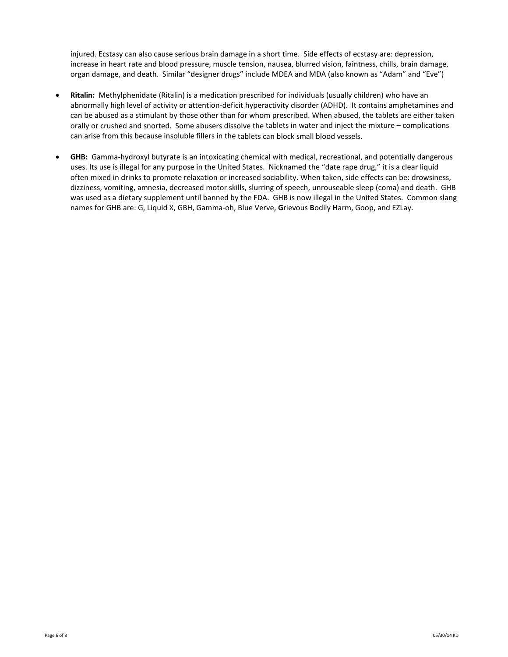injured. Ecstasy can also cause serious brain damage in a short time. Side effects of ecstasy are: depression, increase in heart rate and blood pressure, muscle tension, nausea, blurred vision, faintness, chills, brain damage, organ damage, and death. Similar "designer drugs" include MDEA and MDA (also known as "Adam" and "Eve")

- **Ritalin:** Methylphenidate (Ritalin) is a medication prescribed for individuals (usually children) who have an abnormally high level of activity or attention-deficit hyperactivity disorder (ADHD). It contains amphetamines and can be abused as a stimulant by those other than for whom prescribed. When abused, the tablets are either taken orally or crushed and snorted. Some abusers dissolve the tablets in water and inject the mixture – complications can arise from this because insoluble fillers in the tablets can block small blood vessels.
- **GHB:** Gamma-hydroxyl butyrate is an intoxicating chemical with medical, recreational, and potentially dangerous uses. Its use is illegal for any purpose in the United States. Nicknamed the "date rape drug," it is a clear liquid often mixed in drinks to promote relaxation or increased sociability. When taken, side effects can be: drowsiness, dizziness, vomiting, amnesia, decreased motor skills, slurring of speech, unrouseable sleep (coma) and death. GHB was used as a dietary supplement until banned by the FDA. GHB is now illegal in the United States. Common slang names for GHB are: G, Liquid X, GBH, Gamma-oh, Blue Verve, **G**rievous **B**odily **H**arm, Goop, and EZLay.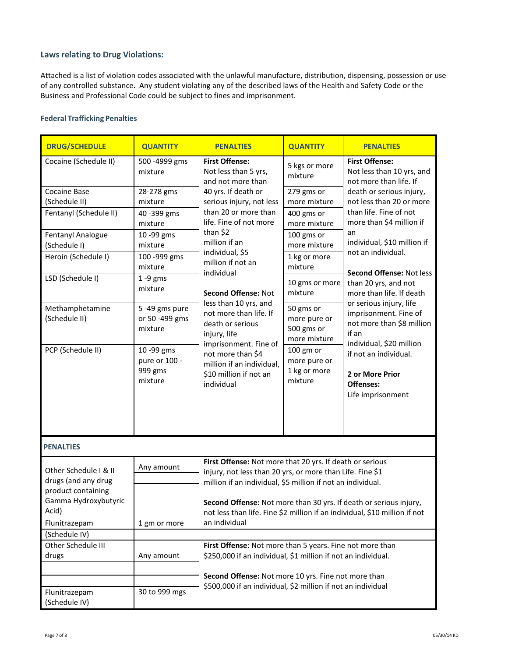# **Laws relating to Drug Violations:**

Attached is a list of violation codes associated with the unlawful manufacture, distribution, dispensing, possession or use of any controlled substance. Any student violating any of the described laws of the Health and Safety Code or the Business and Professional Code could be subject to fines and imprisonment.

# **Federal Trafficking Penalties**

| <b>DRUG/SCHEDULE</b>                         | <b>QUANTITY</b>           | <b>PENALTIES</b>                                                                            | <b>QUANTITY</b>                                           | <b>PENALTIES</b>                                                             |  |
|----------------------------------------------|---------------------------|---------------------------------------------------------------------------------------------|-----------------------------------------------------------|------------------------------------------------------------------------------|--|
| Cocaine (Schedule II)                        | 500 - 4999 gms<br>mixture | <b>First Offense:</b><br>Not less than 5 yrs,<br>and not more than                          | 5 kgs or more<br>mixture                                  | <b>First Offense:</b><br>Not less than 10 yrs, and<br>not more than life. If |  |
| Cocaine Base                                 | 28-278 gms                | 40 yrs. If death or                                                                         | 279 gms or                                                | death or serious injury,                                                     |  |
| (Schedule II)                                | mixture                   | serious injury, not less                                                                    | more mixture                                              | not less than 20 or more                                                     |  |
| Fentanyl (Schedule II)                       | 40 - 399 gms              | than 20 or more than                                                                        | 400 gms or                                                | than life. Fine of not                                                       |  |
|                                              | mixture                   | life. Fine of not more<br>than \$2                                                          | more mixture                                              | more than \$4 million if<br>an                                               |  |
| Fentanyl Analogue                            | 10 -99 gms                | million if an                                                                               | 100 gms or                                                | individual, \$10 million if                                                  |  |
| (Schedule I)                                 | mixture                   | individual, \$5                                                                             | more mixture                                              | not an individual.                                                           |  |
| Heroin (Schedule I)                          | 100 -999 gms              | million if not an                                                                           | 1 kg or more<br>mixture                                   |                                                                              |  |
| LSD (Schedule I)                             | mixture<br>$1 - 9$ gms    | individual                                                                                  |                                                           | <b>Second Offense: Not less</b>                                              |  |
|                                              | mixture                   |                                                                                             | 10 gms or more                                            | than 20 yrs, and not                                                         |  |
|                                              |                           | <b>Second Offense: Not</b>                                                                  | mixture                                                   | more than life. If death                                                     |  |
| Methamphetamine                              | 5-49 gms pure             | less than 10 yrs, and<br>not more than life. If                                             | 50 gms or                                                 | or serious injury, life                                                      |  |
| (Schedule II)                                | or 50 -499 gms            | death or serious                                                                            | more pure or                                              | imprisonment. Fine of<br>not more than \$8 million                           |  |
|                                              | mixture                   | injury, life                                                                                | 500 gms or                                                | if an                                                                        |  |
|                                              |                           | imprisonment. Fine of                                                                       | more mixture                                              | individual, \$20 million                                                     |  |
| PCP (Schedule II)                            | 10 -99 gms                | not more than \$4                                                                           | 100 gm or                                                 | if not an individual.                                                        |  |
|                                              | pure or 100 -             | million if an individual,                                                                   | more pure or                                              |                                                                              |  |
|                                              | 999 gms<br>mixture        | \$10 million if not an                                                                      | 1 kg or more<br>mixture                                   | 2 or More Prior                                                              |  |
|                                              |                           | individual                                                                                  |                                                           | Offenses:                                                                    |  |
|                                              |                           |                                                                                             |                                                           | Life imprisonment                                                            |  |
|                                              |                           |                                                                                             |                                                           |                                                                              |  |
|                                              |                           |                                                                                             |                                                           |                                                                              |  |
| <b>PENALTIES</b>                             |                           |                                                                                             |                                                           |                                                                              |  |
|                                              | Any amount                | First Offense: Not more that 20 yrs. If death or serious                                    |                                                           |                                                                              |  |
| Other Schedule I & II<br>drugs (and any drug |                           |                                                                                             | injury, not less than 20 yrs, or more than Life. Fine \$1 |                                                                              |  |
| product containing                           |                           | million if an individual, \$5 million if not an individual.                                 |                                                           |                                                                              |  |
| Gamma Hydroxybutyric                         |                           | Second Offense: Not more than 30 yrs. If death or serious injury,                           |                                                           |                                                                              |  |
| Acid)                                        |                           |                                                                                             |                                                           |                                                                              |  |
| Flunitrazepam                                | 1 gm or more              | not less than life. Fine \$2 million if an individual, \$10 million if not<br>an individual |                                                           |                                                                              |  |
| (Schedule IV)                                |                           |                                                                                             |                                                           |                                                                              |  |
| Other Schedule III                           |                           | First Offense: Not more than 5 years. Fine not more than                                    |                                                           |                                                                              |  |
| drugs                                        | Any amount                | \$250,000 if an individual, \$1 million if not an individual.                               |                                                           |                                                                              |  |
|                                              |                           |                                                                                             |                                                           |                                                                              |  |
|                                              |                           | Second Offense: Not more 10 yrs. Fine not more than                                         |                                                           |                                                                              |  |
| Flunitrazepam                                | 30 to 999 mgs             | \$500,000 if an individual, \$2 million if not an individual                                |                                                           |                                                                              |  |
| (Schedule IV)                                |                           |                                                                                             |                                                           |                                                                              |  |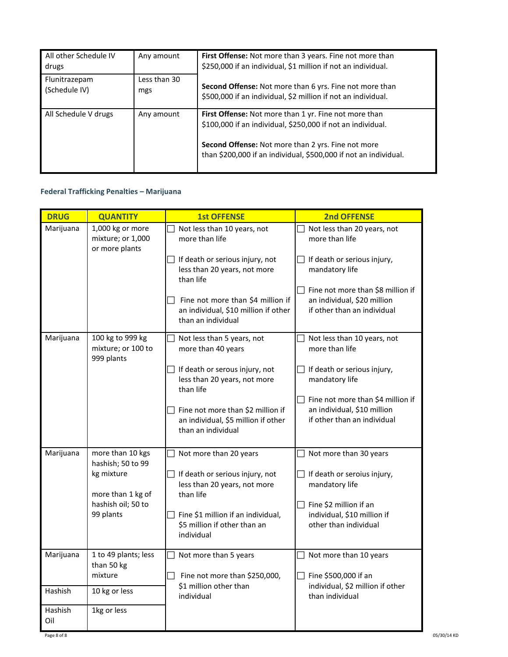| All other Schedule IV<br>drugs | Any amount          | <b>First Offense:</b> Not more than 3 years. Fine not more than<br>\$250,000 if an individual, \$1 million if not an individual.                                                                                                                      |
|--------------------------------|---------------------|-------------------------------------------------------------------------------------------------------------------------------------------------------------------------------------------------------------------------------------------------------|
| Flunitrazepam<br>(Schedule IV) | Less than 30<br>mgs | <b>Second Offense:</b> Not more than 6 yrs. Fine not more than<br>\$500,000 if an individual, \$2 million if not an individual.                                                                                                                       |
| All Schedule V drugs           | Any amount          | First Offense: Not more than 1 yr. Fine not more than<br>\$100,000 if an individual, \$250,000 if not an individual.<br><b>Second Offense:</b> Not more than 2 yrs. Fine not more<br>than \$200,000 if an individual, \$500,000 if not an individual. |

# **Federal Trafficking Penalties – Marijuana**

| <b>DRUG</b>    | <b>QUANTITY</b>                                         | <b>1st OFFENSE</b>                                                                              | <b>2nd OFFENSE</b>                                                                              |
|----------------|---------------------------------------------------------|-------------------------------------------------------------------------------------------------|-------------------------------------------------------------------------------------------------|
| Marijuana      | 1,000 kg or more<br>mixture; or 1,000<br>or more plants | Not less than 10 years, not<br>more than life                                                   | Not less than 20 years, not<br>more than life                                                   |
|                |                                                         | $\Box$ If death or serious injury, not<br>less than 20 years, not more<br>than life             | $\Box$ If death or serious injury,<br>mandatory life                                            |
|                |                                                         | Fine not more than \$4 million if<br>an individual, \$10 million if other<br>than an individual | Fine not more than \$8 million if<br>an individual, \$20 million<br>if other than an individual |
| Marijuana      | 100 kg to 999 kg<br>mixture; or 100 to<br>999 plants    | Not less than 5 years, not<br>more than 40 years                                                | Not less than 10 years, not<br>more than life                                                   |
|                |                                                         | $\Box$ If death or serous injury, not<br>less than 20 years, not more<br>than life              | If death or serious injury,<br>mandatory life                                                   |
|                |                                                         | Fine not more than \$2 million if<br>an individual, \$5 million if other<br>than an individual  | Fine not more than \$4 million if<br>an individual, \$10 million<br>if other than an individual |
| Marijuana      | more than 10 kgs                                        | Not more than 20 years                                                                          | Not more than 30 years                                                                          |
|                | hashish; 50 to 99<br>kg mixture<br>more than 1 kg of    | $\Box$ If death or serious injury, not<br>less than 20 years, not more<br>than life             | If death or seroius injury,<br>$\Box$<br>mandatory life                                         |
|                | hashish oil; 50 to                                      |                                                                                                 | Fine \$2 million if an                                                                          |
|                | 99 plants                                               | Fine \$1 million if an individual,<br>\$5 million if other than an<br>individual                | individual, \$10 million if<br>other than individual                                            |
| Marijuana      | 1 to 49 plants; less<br>than 50 kg<br>mixture           | Not more than 5 years                                                                           | Not more than 10 years<br>Fine \$500,000 if an                                                  |
| Hashish        | 10 kg or less                                           | $\Box$ Fine not more than \$250,000,<br>\$1 million other than                                  | individual, \$2 million if other                                                                |
|                |                                                         | individual                                                                                      | than individual                                                                                 |
| Hashish<br>Oil | 1kg or less                                             |                                                                                                 |                                                                                                 |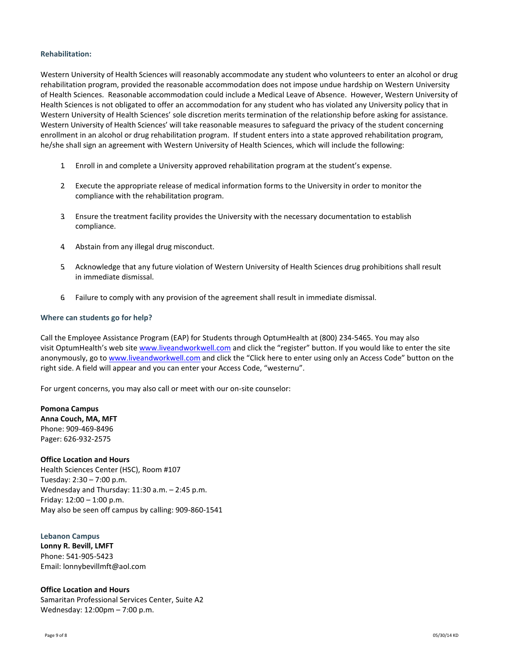#### **Rehabilitation:**

Western University of Health Sciences will reasonably accommodate any student who volunteers to enter an alcohol or drug rehabilitation program, provided the reasonable accommodation does not impose undue hardship on Western University of Health Sciences. Reasonable accommodation could include a Medical Leave of Absence. However, Western University of Health Sciences is not obligated to offer an accommodation for any student who has violated any University policy that in Western University of Health Sciences' sole discretion merits termination of the relationship before asking for assistance. Western University of Health Sciences' will take reasonable measures to safeguard the privacy of the student concerning enrollment in an alcohol or drug rehabilitation program. If student enters into a state approved rehabilitation program, he/she shall sign an agreement with Western University of Health Sciences, which will include the following:

- 1. Enroll in and complete a University approved rehabilitation program at the student's expense.
- 2. Execute the appropriate release of medical information forms to the University in order to monitor the compliance with the rehabilitation program.
- 3. Ensure the treatment facility provides the University with the necessary documentation to establish compliance.
- 4. Abstain from any illegal drug misconduct.
- 5. Acknowledge that any future violation of Western University of Health Sciences drug prohibitions shall result in immediate dismissal.
- 6. Failure to comply with any provision of the agreement shall result in immediate dismissal.

#### **Where can students go for help?**

Call the Employee Assistance Program (EAP) for Students through OptumHealth at (800) 234-5465. You may also visit OptumHealth's web site [www.liveandworkwell.com](http://www.liveandworkwell.com/) and click the "register" button. If you would like to enter the site anonymously, go to [www.liveandworkwell.com](http://www.liveandworkwell.com/) and click the "Click here to enter using only an Access Code" button on the right side. A field will appear and you can enter your Access Code, "westernu".

For urgent concerns, you may also call or meet with our on-site counselor:

**Pomona Campus Anna Couch, MA, MFT** Phone: 909-469-8496 Pager: 626-932-2575

#### **Office Location and Hours**

Health Sciences Center (HSC), Room #107 Tuesday: 2:30 – 7:00 p.m. Wednesday and Thursday: 11:30 a.m. – 2:45 p.m. Friday:  $12:00 - 1:00$  p.m. May also be seen off campus by calling: 909-860-1541

#### **Lebanon Campus**

**Lonny R. Bevill, LMFT** Phone: 541-905-5423 Email: lonnybevillmft@aol.com

#### **Office Location and Hours**

Samaritan Professional Services Center, Suite A2 Wednesday: 12:00pm – 7:00 p.m.